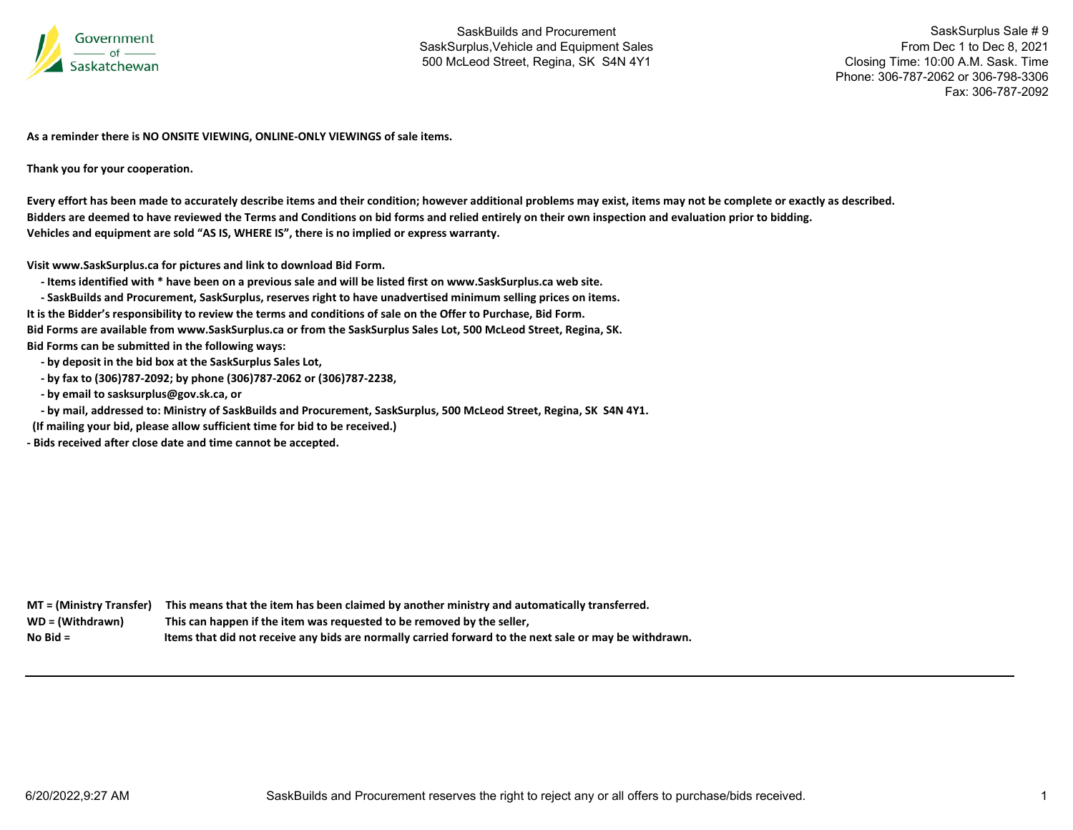

SaskSurplus Sale # 9 From Dec 1 to Dec 8, 2021 Closing Time: 10:00 A.M. Sask. Time Phone: 306-787-2062 or 306-798-3306Fax: 306-787-2092

**As a reminder there is NO ONSITE VIEWING, ONLINE‐ONLY VIEWINGS of sale items.**

**Thank you for your cooperation.**

Every effort has been made to accurately describe items and their condition; however additional problems may exist, items may not be complete or exactly as described. Bidders are deemed to have reviewed the Terms and Conditions on bid forms and relied entirely on their own inspection and evaluation prior to bidding. **Vehicles and equipment are sold "AS IS, WHERE IS", there is no implied or express warranty.**

**Visit www.SaskSurplus.ca for pictures and link to download Bid Form.**

- Items identified with \* have been on a previous sale and will be listed first on www.SaskSurplus.ca web site.

- SaskBuilds and Procurement, SaskSurplus, reserves right to have unadvertised minimum selling prices on items. It is the Bidder's responsibility to review the terms and conditions of sale on the Offer to Purchase, Bid Form. Bid Forms are available from www.SaskSurplus.ca or from the SaskSurplus Sales Lot, 500 McLeod Street, Regina, SK. **Bid Forms can be submitted in the following ways:**

 **‐ by deposit in the bid box at the SaskSurplus Sales Lot,**

 **‐ by fax to (306)787‐2092; by phone (306)787‐2062 or (306)787‐2238,**

 **‐ by email to sasksurplus@gov.sk.ca, or**

- by mail, addressed to: Ministry of SaskBuilds and Procurement, SaskSurplus, 500 McLeod Street, Regina, SK S4N 4Y1.

**(If mailing your bid, please allow sufficient time for bid to be received.)**

**‐ Bids received after close date and time cannot be accepted.**

MT = (Ministry Transfer) This means that the item has been claimed by another ministry and automatically transferred. WD = (Withdrawn) **<sup>=</sup> (Withdrawn) This can happen if the item was requested to be removed by the seller, No**Items that did not receive any bids are normally carried forward to the next sale or may be withdrawn.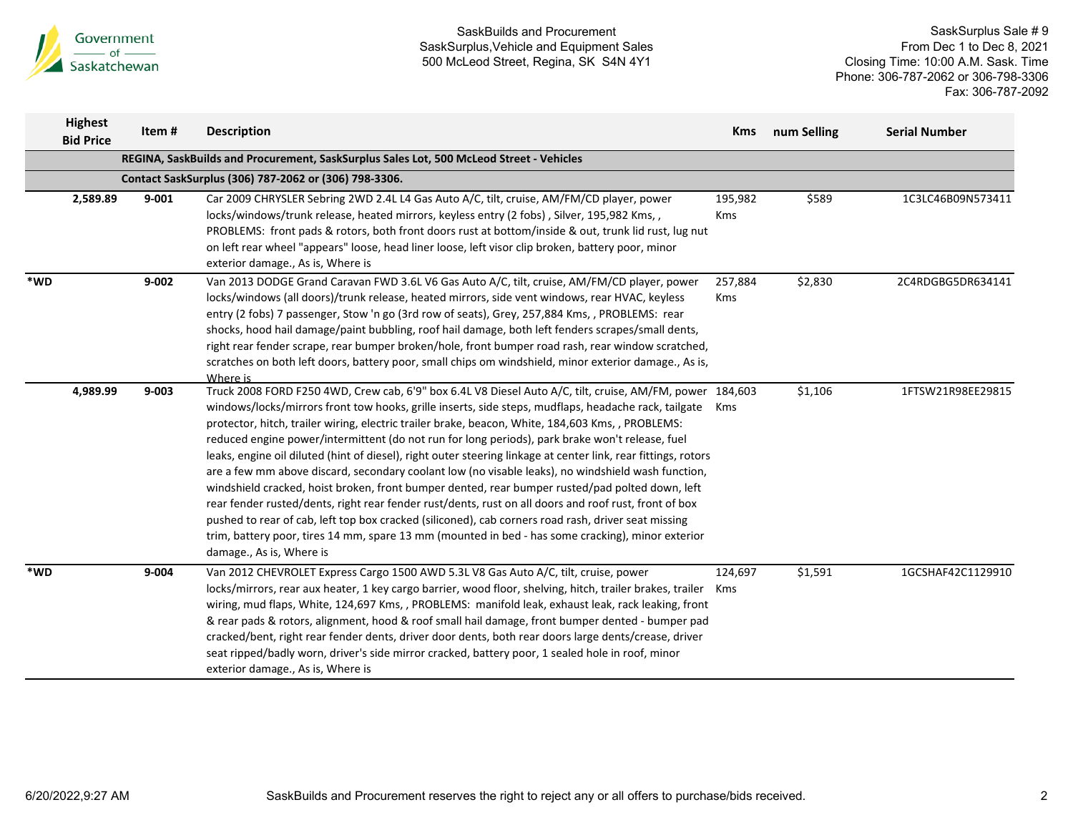

|     | <b>Highest</b><br><b>Bid Price</b> | Item#     | <b>Description</b>                                                                                                                                                                                                                                                                                                                                                                                                                                                                                                                                                                                                                                                                                                                                                                                                                                                                                                                                                                                                                                                                                   | <b>Kms</b>            | num Selling | <b>Serial Number</b> |
|-----|------------------------------------|-----------|------------------------------------------------------------------------------------------------------------------------------------------------------------------------------------------------------------------------------------------------------------------------------------------------------------------------------------------------------------------------------------------------------------------------------------------------------------------------------------------------------------------------------------------------------------------------------------------------------------------------------------------------------------------------------------------------------------------------------------------------------------------------------------------------------------------------------------------------------------------------------------------------------------------------------------------------------------------------------------------------------------------------------------------------------------------------------------------------------|-----------------------|-------------|----------------------|
|     |                                    |           | REGINA, SaskBuilds and Procurement, SaskSurplus Sales Lot, 500 McLeod Street - Vehicles                                                                                                                                                                                                                                                                                                                                                                                                                                                                                                                                                                                                                                                                                                                                                                                                                                                                                                                                                                                                              |                       |             |                      |
|     |                                    |           | Contact SaskSurplus (306) 787-2062 or (306) 798-3306.                                                                                                                                                                                                                                                                                                                                                                                                                                                                                                                                                                                                                                                                                                                                                                                                                                                                                                                                                                                                                                                |                       |             |                      |
|     | 2,589.89                           | $9 - 001$ | Car 2009 CHRYSLER Sebring 2WD 2.4L L4 Gas Auto A/C, tilt, cruise, AM/FM/CD player, power<br>locks/windows/trunk release, heated mirrors, keyless entry (2 fobs), Silver, 195,982 Kms,,<br>PROBLEMS: front pads & rotors, both front doors rust at bottom/inside & out, trunk lid rust, lug nut<br>on left rear wheel "appears" loose, head liner loose, left visor clip broken, battery poor, minor<br>exterior damage., As is, Where is                                                                                                                                                                                                                                                                                                                                                                                                                                                                                                                                                                                                                                                             | 195,982<br>Kms        | \$589       | 1C3LC46B09N573411    |
| *WD |                                    | $9 - 002$ | Van 2013 DODGE Grand Caravan FWD 3.6L V6 Gas Auto A/C, tilt, cruise, AM/FM/CD player, power<br>locks/windows (all doors)/trunk release, heated mirrors, side vent windows, rear HVAC, keyless<br>entry (2 fobs) 7 passenger, Stow 'n go (3rd row of seats), Grey, 257,884 Kms, , PROBLEMS: rear<br>shocks, hood hail damage/paint bubbling, roof hail damage, both left fenders scrapes/small dents,<br>right rear fender scrape, rear bumper broken/hole, front bumper road rash, rear window scratched,<br>scratches on both left doors, battery poor, small chips om windshield, minor exterior damage., As is,<br>Where is                                                                                                                                                                                                                                                                                                                                                                                                                                                                       | 257,884<br><b>Kms</b> | \$2,830     | 2C4RDGBG5DR634141    |
|     | 4,989.99                           | $9 - 003$ | Truck 2008 FORD F250 4WD, Crew cab, 6'9" box 6.4L V8 Diesel Auto A/C, tilt, cruise, AM/FM, power 184,603<br>windows/locks/mirrors front tow hooks, grille inserts, side steps, mudflaps, headache rack, tailgate<br>protector, hitch, trailer wiring, electric trailer brake, beacon, White, 184,603 Kms, , PROBLEMS:<br>reduced engine power/intermittent (do not run for long periods), park brake won't release, fuel<br>leaks, engine oil diluted (hint of diesel), right outer steering linkage at center link, rear fittings, rotors<br>are a few mm above discard, secondary coolant low (no visable leaks), no windshield wash function,<br>windshield cracked, hoist broken, front bumper dented, rear bumper rusted/pad polted down, left<br>rear fender rusted/dents, right rear fender rust/dents, rust on all doors and roof rust, front of box<br>pushed to rear of cab, left top box cracked (siliconed), cab corners road rash, driver seat missing<br>trim, battery poor, tires 14 mm, spare 13 mm (mounted in bed - has some cracking), minor exterior<br>damage., As is, Where is | Kms                   | \$1,106     | 1FTSW21R98EE29815    |
| *WD |                                    | $9 - 004$ | Van 2012 CHEVROLET Express Cargo 1500 AWD 5.3L V8 Gas Auto A/C, tilt, cruise, power<br>locks/mirrors, rear aux heater, 1 key cargo barrier, wood floor, shelving, hitch, trailer brakes, trailer Kms<br>wiring, mud flaps, White, 124,697 Kms, , PROBLEMS: manifold leak, exhaust leak, rack leaking, front<br>& rear pads & rotors, alignment, hood & roof small hail damage, front bumper dented - bumper pad<br>cracked/bent, right rear fender dents, driver door dents, both rear doors large dents/crease, driver<br>seat ripped/badly worn, driver's side mirror cracked, battery poor, 1 sealed hole in roof, minor<br>exterior damage., As is, Where is                                                                                                                                                                                                                                                                                                                                                                                                                                     | 124,697               | \$1,591     | 1GCSHAF42C1129910    |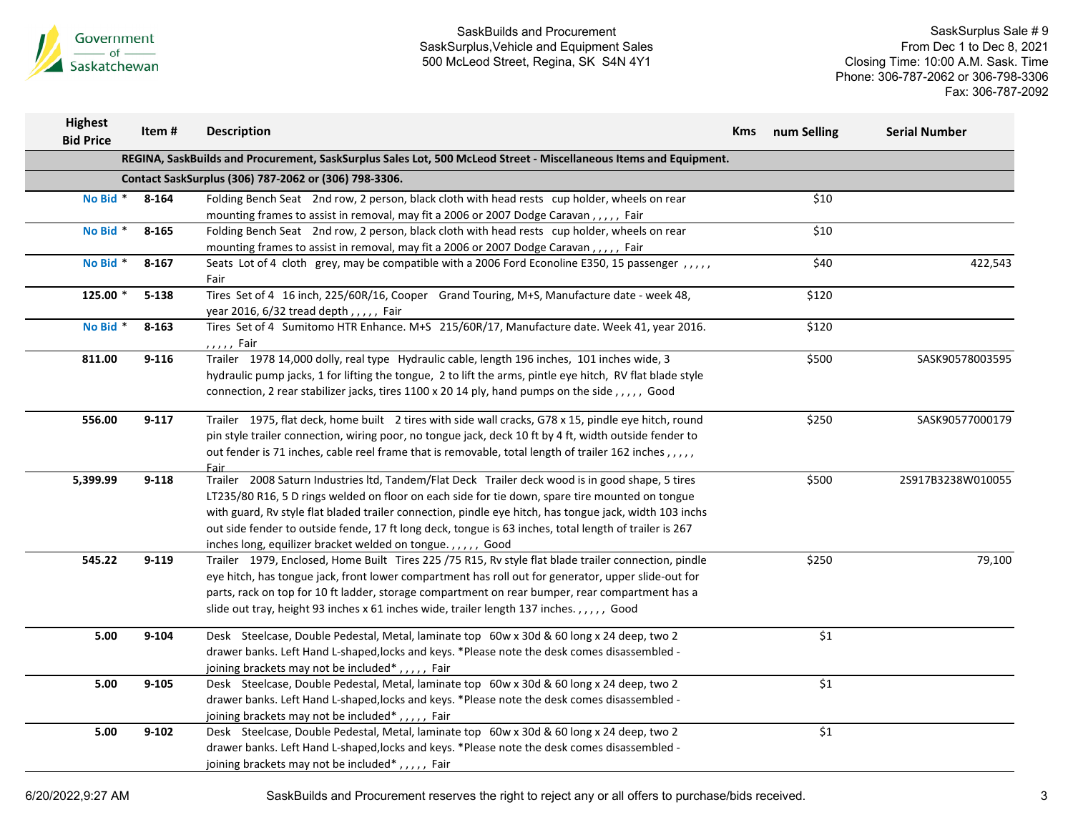

SaskSurplus Sale # 9 From Dec 1 to Dec 8, 2021 Closing Time: 10:00 A.M. Sask. Time Phone: 306-787-2062 or 306-798-3306 Fax: 306-787-2092

| <b>Highest</b><br><b>Bid Price</b> | Item#     | <b>Description</b>                                                                                                                                                                                                                                                                                                                                                                                                                                                                     | <b>Kms</b> | num Selling | <b>Serial Number</b> |
|------------------------------------|-----------|----------------------------------------------------------------------------------------------------------------------------------------------------------------------------------------------------------------------------------------------------------------------------------------------------------------------------------------------------------------------------------------------------------------------------------------------------------------------------------------|------------|-------------|----------------------|
|                                    |           | REGINA, SaskBuilds and Procurement, SaskSurplus Sales Lot, 500 McLeod Street - Miscellaneous Items and Equipment.                                                                                                                                                                                                                                                                                                                                                                      |            |             |                      |
|                                    |           | Contact SaskSurplus (306) 787-2062 or (306) 798-3306.                                                                                                                                                                                                                                                                                                                                                                                                                                  |            |             |                      |
| No Bid *                           | 8-164     | Folding Bench Seat 2nd row, 2 person, black cloth with head rests cup holder, wheels on rear<br>mounting frames to assist in removal, may fit a 2006 or 2007 Dodge Caravan,,,,, Fair                                                                                                                                                                                                                                                                                                   |            | \$10        |                      |
| No Bid *                           | 8-165     | Folding Bench Seat 2nd row, 2 person, black cloth with head rests cup holder, wheels on rear<br>mounting frames to assist in removal, may fit a 2006 or 2007 Dodge Caravan,,,,, Fair                                                                                                                                                                                                                                                                                                   |            | \$10        |                      |
| No Bid *                           | $8 - 167$ | Seats Lot of 4 cloth grey, may be compatible with a 2006 Ford Econoline E350, 15 passenger,,,,,<br>Fair                                                                                                                                                                                                                                                                                                                                                                                |            | \$40        | 422,543              |
| 125.00 *                           | $5 - 138$ | Tires Set of 4 16 inch, 225/60R/16, Cooper Grand Touring, M+S, Manufacture date - week 48,<br>year 2016, $6/32$ tread depth, $1, 1, 1, 1$ Fair                                                                                                                                                                                                                                                                                                                                         |            | \$120       |                      |
| No Bid *                           | $8 - 163$ | Tires Set of 4 Sumitomo HTR Enhance. M+S 215/60R/17, Manufacture date. Week 41, year 2016.<br>, , , , , Fair                                                                                                                                                                                                                                                                                                                                                                           |            | \$120       |                      |
| 811.00                             | $9 - 116$ | Trailer 1978 14,000 dolly, real type Hydraulic cable, length 196 inches, 101 inches wide, 3<br>hydraulic pump jacks, 1 for lifting the tongue, 2 to lift the arms, pintle eye hitch, RV flat blade style<br>connection, 2 rear stabilizer jacks, tires 1100 x 20 14 ply, hand pumps on the side , , , , , Good                                                                                                                                                                         |            | \$500       | SASK90578003595      |
| 556.00                             | $9 - 117$ | Trailer 1975, flat deck, home built 2 tires with side wall cracks, G78 x 15, pindle eye hitch, round<br>pin style trailer connection, wiring poor, no tongue jack, deck 10 ft by 4 ft, width outside fender to<br>out fender is 71 inches, cable reel frame that is removable, total length of trailer 162 inches,,,,,<br><b>Fair</b>                                                                                                                                                  |            | \$250       | SASK90577000179      |
| 5,399.99                           | $9 - 118$ | Trailer 2008 Saturn Industries ltd, Tandem/Flat Deck Trailer deck wood is in good shape, 5 tires<br>LT235/80 R16, 5 D rings welded on floor on each side for tie down, spare tire mounted on tongue<br>with guard, Rv style flat bladed trailer connection, pindle eye hitch, has tongue jack, width 103 inchs<br>out side fender to outside fende, 17 ft long deck, tongue is 63 inches, total length of trailer is 267<br>inches long, equilizer bracket welded on tongue.,,,,, Good |            | \$500       | 2S917B3238W010055    |
| 545.22                             | $9 - 119$ | Trailer 1979, Enclosed, Home Built Tires 225 /75 R15, Rv style flat blade trailer connection, pindle<br>eye hitch, has tongue jack, front lower compartment has roll out for generator, upper slide-out for<br>parts, rack on top for 10 ft ladder, storage compartment on rear bumper, rear compartment has a<br>slide out tray, height 93 inches x 61 inches wide, trailer length 137 inches.,,,,, Good                                                                              |            | \$250       | 79,100               |
| 5.00                               | $9 - 104$ | Desk Steelcase, Double Pedestal, Metal, laminate top 60w x 30d & 60 long x 24 deep, two 2<br>drawer banks. Left Hand L-shaped, locks and keys. *Please note the desk comes disassembled -<br>joining brackets may not be included <sup>*</sup> ,,,,,, Fair                                                                                                                                                                                                                             |            | \$1         |                      |
| 5.00                               | $9 - 105$ | Desk Steelcase, Double Pedestal, Metal, laminate top 60w x 30d & 60 long x 24 deep, two 2<br>drawer banks. Left Hand L-shaped, locks and keys. *Please note the desk comes disassembled -<br>joining brackets may not be included*,,,,, Fair                                                                                                                                                                                                                                           |            | \$1         |                      |
| $5.00$                             | $9 - 102$ | Desk Steelcase, Double Pedestal, Metal, laminate top 60w x 30d & 60 long x 24 deep, two 2<br>drawer banks. Left Hand L-shaped, locks and keys. *Please note the desk comes disassembled -<br>joining brackets may not be included*,,,,, Fair                                                                                                                                                                                                                                           |            | \$1         |                      |

6/20/2022,9:27 AM SaskBuilds and Procurement reserves the right to reject any or all offers to purchase/bids received. 3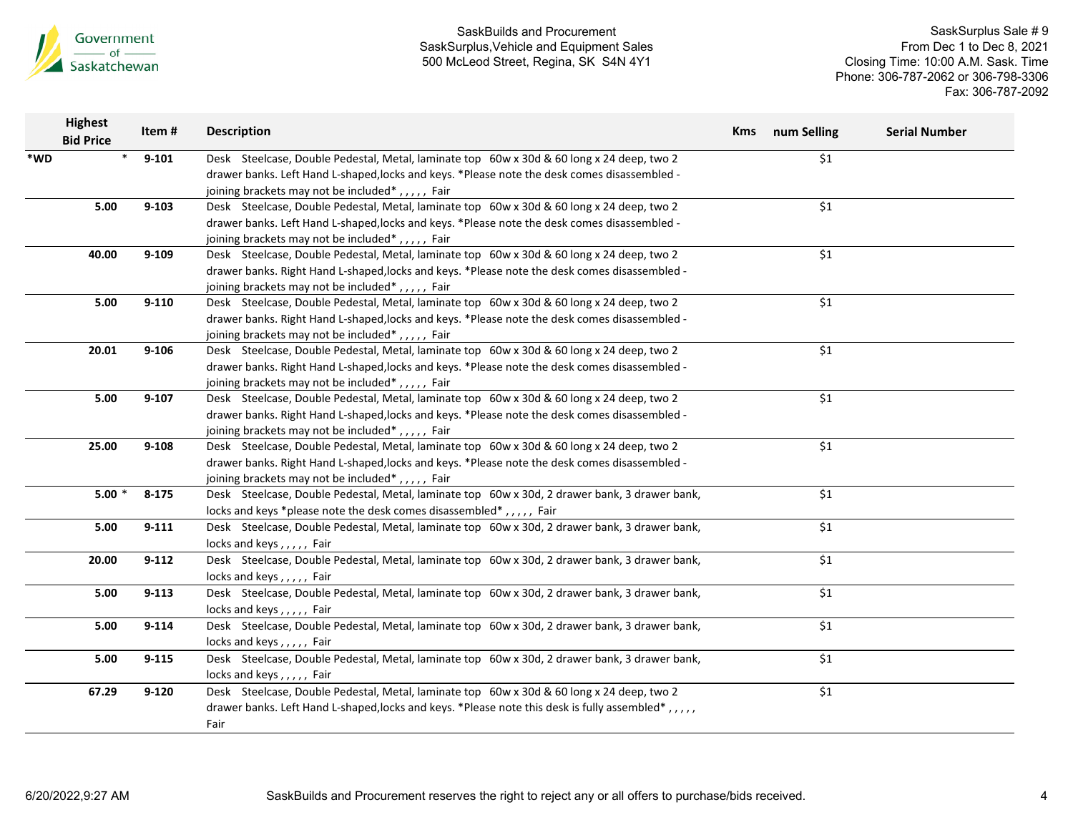

| <b>Bid Price</b> | Item#                                          | <b>Description</b>                                                                             |                                                                                                                                                                                                                                                                                                                                                                                                                                                                                                                                                                                                                                                                                                                                                                                                                                                                                                                                                                                                                                                                                                                                                                                                                                                                                                                                                                                                                                                                                           | <b>Kms</b> num Selling | <b>Serial Number</b>                          |
|------------------|------------------------------------------------|------------------------------------------------------------------------------------------------|-------------------------------------------------------------------------------------------------------------------------------------------------------------------------------------------------------------------------------------------------------------------------------------------------------------------------------------------------------------------------------------------------------------------------------------------------------------------------------------------------------------------------------------------------------------------------------------------------------------------------------------------------------------------------------------------------------------------------------------------------------------------------------------------------------------------------------------------------------------------------------------------------------------------------------------------------------------------------------------------------------------------------------------------------------------------------------------------------------------------------------------------------------------------------------------------------------------------------------------------------------------------------------------------------------------------------------------------------------------------------------------------------------------------------------------------------------------------------------------------|------------------------|-----------------------------------------------|
|                  | $9 - 101$                                      | Desk Steelcase, Double Pedestal, Metal, laminate top 60w x 30d & 60 long x 24 deep, two 2      |                                                                                                                                                                                                                                                                                                                                                                                                                                                                                                                                                                                                                                                                                                                                                                                                                                                                                                                                                                                                                                                                                                                                                                                                                                                                                                                                                                                                                                                                                           | \$1                    |                                               |
|                  |                                                | drawer banks. Left Hand L-shaped, locks and keys. *Please note the desk comes disassembled -   |                                                                                                                                                                                                                                                                                                                                                                                                                                                                                                                                                                                                                                                                                                                                                                                                                                                                                                                                                                                                                                                                                                                                                                                                                                                                                                                                                                                                                                                                                           |                        |                                               |
|                  |                                                | joining brackets may not be included*,,,,, Fair                                                |                                                                                                                                                                                                                                                                                                                                                                                                                                                                                                                                                                                                                                                                                                                                                                                                                                                                                                                                                                                                                                                                                                                                                                                                                                                                                                                                                                                                                                                                                           |                        |                                               |
| 5.00             | $9 - 103$                                      | Desk Steelcase, Double Pedestal, Metal, laminate top 60w x 30d & 60 long x 24 deep, two 2      |                                                                                                                                                                                                                                                                                                                                                                                                                                                                                                                                                                                                                                                                                                                                                                                                                                                                                                                                                                                                                                                                                                                                                                                                                                                                                                                                                                                                                                                                                           | \$1                    |                                               |
|                  |                                                | drawer banks. Left Hand L-shaped, locks and keys. *Please note the desk comes disassembled -   |                                                                                                                                                                                                                                                                                                                                                                                                                                                                                                                                                                                                                                                                                                                                                                                                                                                                                                                                                                                                                                                                                                                                                                                                                                                                                                                                                                                                                                                                                           |                        |                                               |
|                  |                                                | joining brackets may not be included*,,,,, Fair                                                |                                                                                                                                                                                                                                                                                                                                                                                                                                                                                                                                                                                                                                                                                                                                                                                                                                                                                                                                                                                                                                                                                                                                                                                                                                                                                                                                                                                                                                                                                           |                        |                                               |
| 40.00            | $9 - 109$                                      | Desk Steelcase, Double Pedestal, Metal, laminate top 60w x 30d & 60 long x 24 deep, two 2      |                                                                                                                                                                                                                                                                                                                                                                                                                                                                                                                                                                                                                                                                                                                                                                                                                                                                                                                                                                                                                                                                                                                                                                                                                                                                                                                                                                                                                                                                                           | \$1                    |                                               |
|                  |                                                | drawer banks. Right Hand L-shaped, locks and keys. * Please note the desk comes disassembled - |                                                                                                                                                                                                                                                                                                                                                                                                                                                                                                                                                                                                                                                                                                                                                                                                                                                                                                                                                                                                                                                                                                                                                                                                                                                                                                                                                                                                                                                                                           |                        |                                               |
|                  |                                                | joining brackets may not be included*,,,,, Fair                                                |                                                                                                                                                                                                                                                                                                                                                                                                                                                                                                                                                                                                                                                                                                                                                                                                                                                                                                                                                                                                                                                                                                                                                                                                                                                                                                                                                                                                                                                                                           |                        |                                               |
| 5.00             | $9 - 110$                                      | Desk Steelcase, Double Pedestal, Metal, laminate top 60w x 30d & 60 long x 24 deep, two 2      |                                                                                                                                                                                                                                                                                                                                                                                                                                                                                                                                                                                                                                                                                                                                                                                                                                                                                                                                                                                                                                                                                                                                                                                                                                                                                                                                                                                                                                                                                           | \$1                    |                                               |
|                  |                                                | drawer banks. Right Hand L-shaped, locks and keys. * Please note the desk comes disassembled - |                                                                                                                                                                                                                                                                                                                                                                                                                                                                                                                                                                                                                                                                                                                                                                                                                                                                                                                                                                                                                                                                                                                                                                                                                                                                                                                                                                                                                                                                                           |                        |                                               |
|                  |                                                | joining brackets may not be included*,,,,, Fair                                                |                                                                                                                                                                                                                                                                                                                                                                                                                                                                                                                                                                                                                                                                                                                                                                                                                                                                                                                                                                                                                                                                                                                                                                                                                                                                                                                                                                                                                                                                                           |                        |                                               |
| 20.01            | $9 - 106$                                      | Desk Steelcase, Double Pedestal, Metal, laminate top 60w x 30d & 60 long x 24 deep, two 2      |                                                                                                                                                                                                                                                                                                                                                                                                                                                                                                                                                                                                                                                                                                                                                                                                                                                                                                                                                                                                                                                                                                                                                                                                                                                                                                                                                                                                                                                                                           | \$1                    |                                               |
|                  |                                                | drawer banks. Right Hand L-shaped, locks and keys. * Please note the desk comes disassembled - |                                                                                                                                                                                                                                                                                                                                                                                                                                                                                                                                                                                                                                                                                                                                                                                                                                                                                                                                                                                                                                                                                                                                                                                                                                                                                                                                                                                                                                                                                           |                        |                                               |
|                  |                                                |                                                                                                |                                                                                                                                                                                                                                                                                                                                                                                                                                                                                                                                                                                                                                                                                                                                                                                                                                                                                                                                                                                                                                                                                                                                                                                                                                                                                                                                                                                                                                                                                           |                        |                                               |
| 5.00             | $9 - 107$                                      |                                                                                                |                                                                                                                                                                                                                                                                                                                                                                                                                                                                                                                                                                                                                                                                                                                                                                                                                                                                                                                                                                                                                                                                                                                                                                                                                                                                                                                                                                                                                                                                                           | \$1                    |                                               |
|                  |                                                |                                                                                                |                                                                                                                                                                                                                                                                                                                                                                                                                                                                                                                                                                                                                                                                                                                                                                                                                                                                                                                                                                                                                                                                                                                                                                                                                                                                                                                                                                                                                                                                                           |                        |                                               |
|                  |                                                |                                                                                                |                                                                                                                                                                                                                                                                                                                                                                                                                                                                                                                                                                                                                                                                                                                                                                                                                                                                                                                                                                                                                                                                                                                                                                                                                                                                                                                                                                                                                                                                                           |                        |                                               |
| 25.00            | $9 - 108$                                      | Desk Steelcase, Double Pedestal, Metal, laminate top 60w x 30d & 60 long x 24 deep, two 2      |                                                                                                                                                                                                                                                                                                                                                                                                                                                                                                                                                                                                                                                                                                                                                                                                                                                                                                                                                                                                                                                                                                                                                                                                                                                                                                                                                                                                                                                                                           | \$1                    |                                               |
|                  |                                                |                                                                                                |                                                                                                                                                                                                                                                                                                                                                                                                                                                                                                                                                                                                                                                                                                                                                                                                                                                                                                                                                                                                                                                                                                                                                                                                                                                                                                                                                                                                                                                                                           |                        |                                               |
|                  |                                                |                                                                                                |                                                                                                                                                                                                                                                                                                                                                                                                                                                                                                                                                                                                                                                                                                                                                                                                                                                                                                                                                                                                                                                                                                                                                                                                                                                                                                                                                                                                                                                                                           |                        |                                               |
| $5.00*$          |                                                |                                                                                                |                                                                                                                                                                                                                                                                                                                                                                                                                                                                                                                                                                                                                                                                                                                                                                                                                                                                                                                                                                                                                                                                                                                                                                                                                                                                                                                                                                                                                                                                                           |                        |                                               |
|                  |                                                |                                                                                                |                                                                                                                                                                                                                                                                                                                                                                                                                                                                                                                                                                                                                                                                                                                                                                                                                                                                                                                                                                                                                                                                                                                                                                                                                                                                                                                                                                                                                                                                                           |                        |                                               |
|                  |                                                |                                                                                                |                                                                                                                                                                                                                                                                                                                                                                                                                                                                                                                                                                                                                                                                                                                                                                                                                                                                                                                                                                                                                                                                                                                                                                                                                                                                                                                                                                                                                                                                                           |                        |                                               |
|                  |                                                |                                                                                                |                                                                                                                                                                                                                                                                                                                                                                                                                                                                                                                                                                                                                                                                                                                                                                                                                                                                                                                                                                                                                                                                                                                                                                                                                                                                                                                                                                                                                                                                                           |                        |                                               |
|                  |                                                |                                                                                                |                                                                                                                                                                                                                                                                                                                                                                                                                                                                                                                                                                                                                                                                                                                                                                                                                                                                                                                                                                                                                                                                                                                                                                                                                                                                                                                                                                                                                                                                                           |                        |                                               |
|                  |                                                |                                                                                                |                                                                                                                                                                                                                                                                                                                                                                                                                                                                                                                                                                                                                                                                                                                                                                                                                                                                                                                                                                                                                                                                                                                                                                                                                                                                                                                                                                                                                                                                                           |                        |                                               |
|                  |                                                |                                                                                                |                                                                                                                                                                                                                                                                                                                                                                                                                                                                                                                                                                                                                                                                                                                                                                                                                                                                                                                                                                                                                                                                                                                                                                                                                                                                                                                                                                                                                                                                                           |                        |                                               |
|                  |                                                |                                                                                                |                                                                                                                                                                                                                                                                                                                                                                                                                                                                                                                                                                                                                                                                                                                                                                                                                                                                                                                                                                                                                                                                                                                                                                                                                                                                                                                                                                                                                                                                                           |                        |                                               |
|                  |                                                |                                                                                                |                                                                                                                                                                                                                                                                                                                                                                                                                                                                                                                                                                                                                                                                                                                                                                                                                                                                                                                                                                                                                                                                                                                                                                                                                                                                                                                                                                                                                                                                                           |                        |                                               |
|                  |                                                |                                                                                                |                                                                                                                                                                                                                                                                                                                                                                                                                                                                                                                                                                                                                                                                                                                                                                                                                                                                                                                                                                                                                                                                                                                                                                                                                                                                                                                                                                                                                                                                                           |                        |                                               |
|                  |                                                |                                                                                                |                                                                                                                                                                                                                                                                                                                                                                                                                                                                                                                                                                                                                                                                                                                                                                                                                                                                                                                                                                                                                                                                                                                                                                                                                                                                                                                                                                                                                                                                                           |                        |                                               |
|                  |                                                |                                                                                                |                                                                                                                                                                                                                                                                                                                                                                                                                                                                                                                                                                                                                                                                                                                                                                                                                                                                                                                                                                                                                                                                                                                                                                                                                                                                                                                                                                                                                                                                                           |                        |                                               |
|                  |                                                |                                                                                                |                                                                                                                                                                                                                                                                                                                                                                                                                                                                                                                                                                                                                                                                                                                                                                                                                                                                                                                                                                                                                                                                                                                                                                                                                                                                                                                                                                                                                                                                                           |                        |                                               |
|                  |                                                |                                                                                                |                                                                                                                                                                                                                                                                                                                                                                                                                                                                                                                                                                                                                                                                                                                                                                                                                                                                                                                                                                                                                                                                                                                                                                                                                                                                                                                                                                                                                                                                                           |                        |                                               |
|                  |                                                |                                                                                                |                                                                                                                                                                                                                                                                                                                                                                                                                                                                                                                                                                                                                                                                                                                                                                                                                                                                                                                                                                                                                                                                                                                                                                                                                                                                                                                                                                                                                                                                                           |                        |                                               |
|                  | 5.00<br>20.00<br>5.00<br>5.00<br>5.00<br>67.29 | $8 - 175$<br>$9 - 111$<br>$9 - 112$<br>$9 - 113$<br>$9 - 114$<br>$9 - 115$<br>$9 - 120$        | joining brackets may not be included*,,,,, Fair<br>Desk Steelcase, Double Pedestal, Metal, laminate top 60w x 30d & 60 long x 24 deep, two 2<br>drawer banks. Right Hand L-shaped, locks and keys. * Please note the desk comes disassembled -<br>joining brackets may not be included*,,,,, Fair<br>drawer banks. Right Hand L-shaped, locks and keys. * Please note the desk comes disassembled -<br>joining brackets may not be included*,,,,, Fair<br>Desk Steelcase, Double Pedestal, Metal, laminate top 60w x 30d, 2 drawer bank, 3 drawer bank,<br>locks and keys *please note the desk comes disassembled*,,,,, Fair<br>Desk Steelcase, Double Pedestal, Metal, laminate top 60w x 30d, 2 drawer bank, 3 drawer bank,<br>locks and keys,,,,, Fair<br>Desk Steelcase, Double Pedestal, Metal, laminate top 60w x 30d, 2 drawer bank, 3 drawer bank,<br>locks and keys,,,,, Fair<br>Desk Steelcase, Double Pedestal, Metal, laminate top 60w x 30d, 2 drawer bank, 3 drawer bank,<br>locks and keys,,,,, Fair<br>Desk Steelcase, Double Pedestal, Metal, laminate top 60w x 30d, 2 drawer bank, 3 drawer bank,<br>locks and keys,,,,, Fair<br>Desk Steelcase, Double Pedestal, Metal, laminate top 60w x 30d, 2 drawer bank, 3 drawer bank,<br>locks and keys,,,,, Fair<br>Desk Steelcase, Double Pedestal, Metal, laminate top 60w x 30d & 60 long x 24 deep, two 2<br>drawer banks. Left Hand L-shaped, locks and keys. *Please note this desk is fully assembled*,,,,,,<br>Fair |                        | \$1<br>\$1<br>\$1<br>\$1<br>\$1<br>\$1<br>\$1 |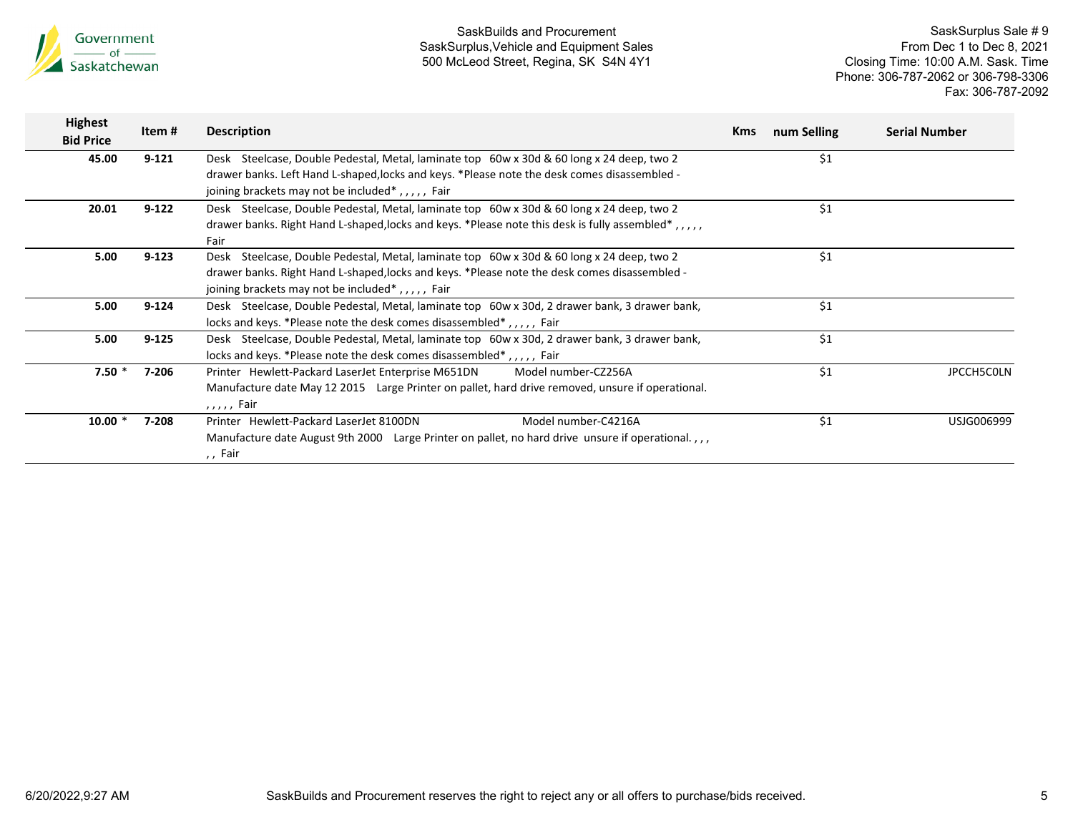

| <b>Highest</b><br><b>Bid Price</b> | Item#     | <b>Description</b>                                                                                                                                                                                                                                             | <b>Kms</b> | num Selling   | <b>Serial Number</b> |
|------------------------------------|-----------|----------------------------------------------------------------------------------------------------------------------------------------------------------------------------------------------------------------------------------------------------------------|------------|---------------|----------------------|
| 45.00                              | $9 - 121$ | Steelcase, Double Pedestal, Metal, laminate top 60w x 30d & 60 long x 24 deep, two 2<br>Desk<br>drawer banks. Left Hand L-shaped, locks and keys. *Please note the desk comes disassembled -<br>joining brackets may not be included*,,,,, Fair                |            | \$1           |                      |
| 20.01                              | $9-122$   | Desk Steelcase, Double Pedestal, Metal, laminate top 60w x 30d & 60 long x 24 deep, two 2<br>drawer banks. Right Hand L-shaped, locks and keys. *Please note this desk is fully assembled*,,,,,<br>Fair                                                        |            | \$1           |                      |
| 5.00                               | $9 - 123$ | Steelcase, Double Pedestal, Metal, laminate top 60w x 30d & 60 long x 24 deep, two 2<br>Desk<br>drawer banks. Right Hand L-shaped, locks and keys. *Please note the desk comes disassembled -<br>joining brackets may not be included <sup>*</sup> ,,,,,, Fair |            | $\frac{1}{2}$ |                      |
| 5.00                               | $9 - 124$ | Desk Steelcase, Double Pedestal, Metal, laminate top 60w x 30d, 2 drawer bank, 3 drawer bank,<br>locks and keys. *Please note the desk comes disassembled*,,,,, Fair                                                                                           |            | \$1           |                      |
| 5.00                               | $9 - 125$ | Desk Steelcase, Double Pedestal, Metal, laminate top 60w x 30d, 2 drawer bank, 3 drawer bank,<br>locks and keys. *Please note the desk comes disassembled*,,,,, Fair                                                                                           |            | \$1           |                      |
| $7.50*$                            | 7-206     | Printer Hewlett-Packard LaserJet Enterprise M651DN<br>Model number-CZ256A<br>Manufacture date May 12 2015 Large Printer on pallet, hard drive removed, unsure if operational.<br>,,,,, Fair                                                                    |            | \$1           | JPCCH5C0LN           |
| $10.00*$                           | 7-208     | Model number-C4216A<br>Printer Hewlett-Packard Laser Jet 8100DN<br>Manufacture date August 9th 2000 Large Printer on pallet, no hard drive unsure if operational.,,,<br>,, Fair                                                                                |            | \$1           | USJG006999           |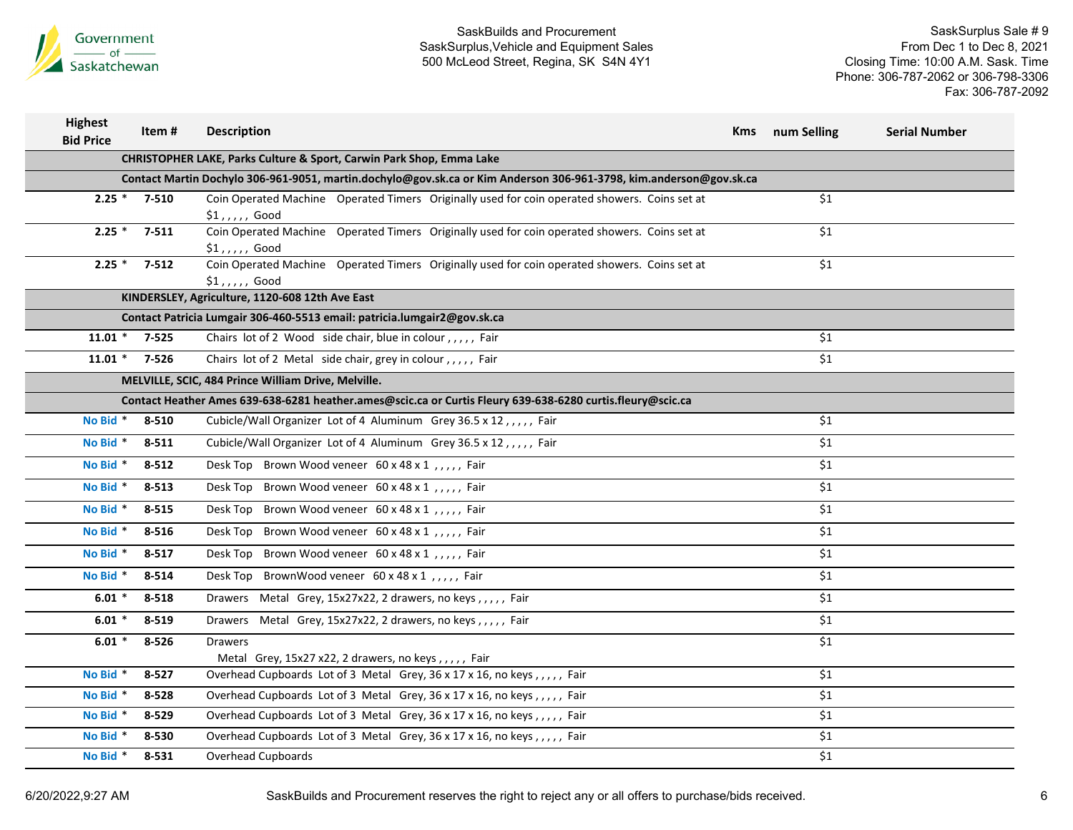

| <b>Highest</b><br><b>Bid Price</b> | Item#     | <b>Description</b>                                                                                                 | Kms | num Selling | <b>Serial Number</b> |
|------------------------------------|-----------|--------------------------------------------------------------------------------------------------------------------|-----|-------------|----------------------|
|                                    |           | <b>CHRISTOPHER LAKE, Parks Culture &amp; Sport, Carwin Park Shop, Emma Lake</b>                                    |     |             |                      |
|                                    |           | Contact Martin Dochylo 306-961-9051, martin.dochylo@gov.sk.ca or Kim Anderson 306-961-3798, kim.anderson@gov.sk.ca |     |             |                      |
| $2.25$ *                           | 7-510     | Coin Operated Machine Operated Timers Originally used for coin operated showers. Coins set at<br>$$1$ ,,,,, Good   |     | \$1         |                      |
| $2.25$ *                           | $7 - 511$ | Coin Operated Machine Operated Timers Originally used for coin operated showers. Coins set at<br>$$1$ ,,,,, Good   |     | \$1         |                      |
| $2.25$ *                           | $7 - 512$ | Coin Operated Machine Operated Timers Originally used for coin operated showers. Coins set at<br>$$1$ ,,,,, Good   |     | \$1         |                      |
|                                    |           | KINDERSLEY, Agriculture, 1120-608 12th Ave East                                                                    |     |             |                      |
|                                    |           | Contact Patricia Lumgair 306-460-5513 email: patricia.lumgair2@gov.sk.ca                                           |     |             |                      |
| $11.01 *$                          | $7 - 525$ | Chairs lot of 2 Wood side chair, blue in colour,,,,, Fair                                                          |     | \$1         |                      |
| $11.01 *$                          | 7-526     | Chairs lot of 2 Metal side chair, grey in colour,,,,, Fair                                                         |     | \$1         |                      |
|                                    |           | MELVILLE, SCIC, 484 Prince William Drive, Melville.                                                                |     |             |                      |
|                                    |           | Contact Heather Ames 639-638-6281 heather.ames@scic.ca or Curtis Fleury 639-638-6280 curtis.fleury@scic.ca         |     |             |                      |
| No Bid *                           | 8-510     | Cubicle/Wall Organizer Lot of 4 Aluminum Grey 36.5 x 12,,,,, Fair                                                  |     | \$1         |                      |
| No Bid *                           | 8-511     | Cubicle/Wall Organizer Lot of 4 Aluminum Grey 36.5 x 12,,,,, Fair                                                  |     | \$1         |                      |
| No Bid *                           | $8 - 512$ | Desk Top Brown Wood veneer 60 x 48 x 1,,,,, Fair                                                                   |     | \$1         |                      |
| No Bid *                           | $8 - 513$ | Desk Top Brown Wood veneer 60 x 48 x 1,,,,, Fair                                                                   |     | \$1         |                      |
| No Bid *                           | 8-515     | Desk Top Brown Wood veneer 60 x 48 x 1,,,,, Fair                                                                   |     | \$1         |                      |
| No Bid *                           | 8-516     | Desk Top Brown Wood veneer 60 x 48 x 1,,,,, Fair                                                                   |     | \$1         |                      |
| No Bid *                           | 8-517     | Desk Top Brown Wood veneer 60 x 48 x 1,,,,, Fair                                                                   |     | \$1         |                      |
| No Bid *                           | 8-514     | Desk Top BrownWood veneer 60 x 48 x 1, , , , , Fair                                                                |     | \$1         |                      |
| $6.01*$                            | 8-518     | Drawers Metal Grey, 15x27x22, 2 drawers, no keys,,,,, Fair                                                         |     | \$1         |                      |
| $6.01*$                            | $8 - 519$ | Drawers Metal Grey, 15x27x22, 2 drawers, no keys,,,,, Fair                                                         |     | \$1         |                      |
| $6.01*$                            | $8 - 526$ | <b>Drawers</b>                                                                                                     |     | \$1         |                      |
| No Bid *                           |           | Metal Grey, 15x27 x22, 2 drawers, no keys,,,,, Fair                                                                |     |             |                      |
|                                    | $8 - 527$ | Overhead Cupboards Lot of 3 Metal Grey, 36 x 17 x 16, no keys,,,,, Fair                                            |     | \$1         |                      |
| No Bid *                           | 8-528     | Overhead Cupboards Lot of 3 Metal Grey, 36 x 17 x 16, no keys,,,,, Fair                                            |     | \$1         |                      |
| No Bid *                           | $8 - 529$ | Overhead Cupboards Lot of 3 Metal Grey, 36 x 17 x 16, no keys,,,,, Fair                                            |     | \$1         |                      |
| No Bid *                           | 8-530     | Overhead Cupboards Lot of 3 Metal Grey, 36 x 17 x 16, no keys,,,,, Fair                                            |     | \$1         |                      |
| No Bid *                           | 8-531     | Overhead Cupboards                                                                                                 |     | \$1         |                      |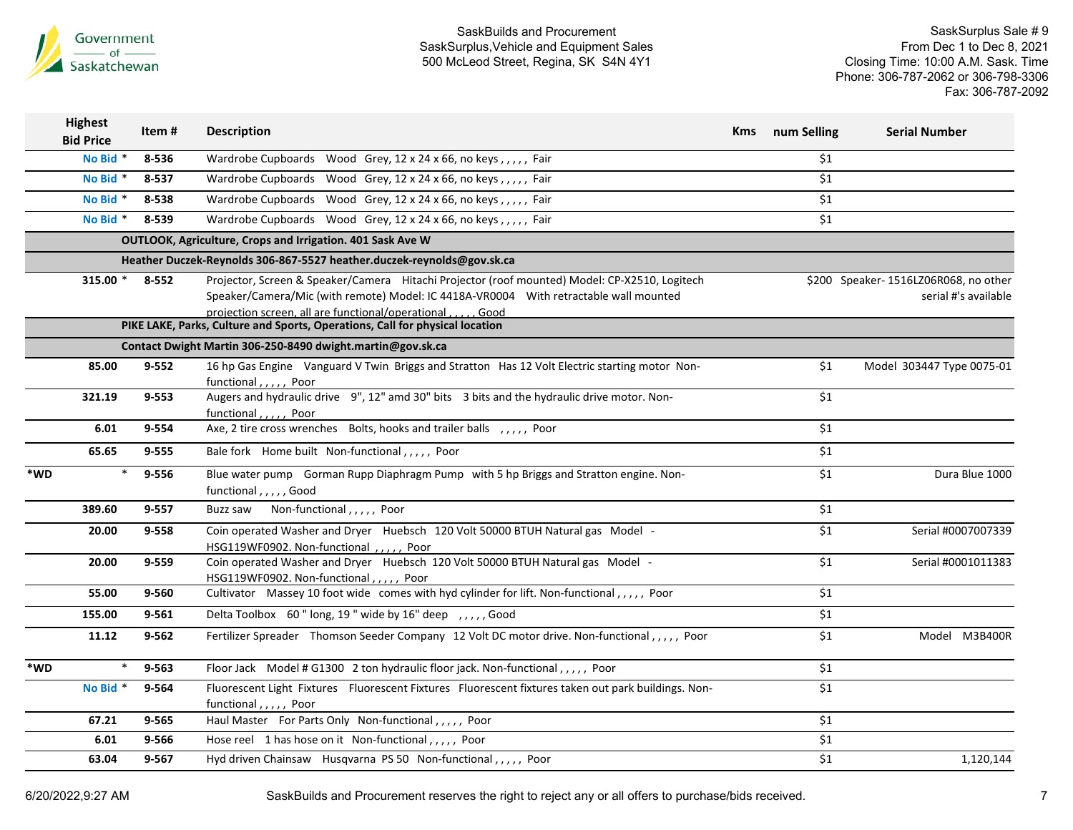

|     | <b>Highest</b><br><b>Bid Price</b> | Item#     | <b>Description</b>                                                                                                                                                                                                                                      | Kms | num Selling      | <b>Serial Number</b>                                         |
|-----|------------------------------------|-----------|---------------------------------------------------------------------------------------------------------------------------------------------------------------------------------------------------------------------------------------------------------|-----|------------------|--------------------------------------------------------------|
|     | No Bid *                           | 8-536     | Wardrobe Cupboards Wood Grey, 12 x 24 x 66, no keys,,,,, Fair                                                                                                                                                                                           |     | \$1              |                                                              |
|     | No Bid *                           | 8-537     | Wardrobe Cupboards Wood Grey, 12 x 24 x 66, no keys,,,,, Fair                                                                                                                                                                                           |     | \$1              |                                                              |
|     | No Bid *                           | 8-538     | Wardrobe Cupboards Wood Grey, 12 x 24 x 66, no keys,,,,, Fair                                                                                                                                                                                           |     | \$1              |                                                              |
|     | No Bid *                           | 8-539     | Wardrobe Cupboards Wood Grey, 12 x 24 x 66, no keys,,,,, Fair                                                                                                                                                                                           |     | \$1              |                                                              |
|     |                                    |           | OUTLOOK, Agriculture, Crops and Irrigation. 401 Sask Ave W                                                                                                                                                                                              |     |                  |                                                              |
|     |                                    |           | Heather Duczek-Reynolds 306-867-5527 heather.duczek-reynolds@gov.sk.ca                                                                                                                                                                                  |     |                  |                                                              |
|     | 315.00 *                           | 8-552     | Projector, Screen & Speaker/Camera Hitachi Projector (roof mounted) Model: CP-X2510, Logitech<br>Speaker/Camera/Mic (with remote) Model: IC 4418A-VR0004 With retractable wall mounted<br>projection screen, all are functional/operational<br>. . Good |     |                  | \$200 Speaker-1516LZ06R068, no other<br>serial #'s available |
|     |                                    |           | PIKE LAKE, Parks, Culture and Sports, Operations, Call for physical location                                                                                                                                                                            |     |                  |                                                              |
|     |                                    |           | Contact Dwight Martin 306-250-8490 dwight.martin@gov.sk.ca                                                                                                                                                                                              |     |                  |                                                              |
|     | 85.00                              | $9 - 552$ | 16 hp Gas Engine Vanguard V Twin Briggs and Stratton Has 12 Volt Electric starting motor Non-<br>functional,,,,, Poor                                                                                                                                   |     | \$1              | Model 303447 Type 0075-01                                    |
|     | 321.19                             | 9-553     | Augers and hydraulic drive 9", 12" amd 30" bits 3 bits and the hydraulic drive motor. Non-<br>functional,,,,, Poor                                                                                                                                      |     | \$1              |                                                              |
|     | 6.01                               | 9-554     | Axe, 2 tire cross wrenches Bolts, hooks and trailer balls , , , , , Poor                                                                                                                                                                                |     | \$1              |                                                              |
|     | 65.65                              | 9-555     | Bale fork Home built Non-functional,,,,, Poor                                                                                                                                                                                                           |     | \$1              |                                                              |
| *WD | $\ast$                             | 9-556     | Blue water pump Gorman Rupp Diaphragm Pump with 5 hp Briggs and Stratton engine. Non-<br>functional,,,,,Good                                                                                                                                            |     | \$1              | Dura Blue 1000                                               |
|     | 389.60                             | 9-557     | Buzz saw Non-functional,,,,, Poor                                                                                                                                                                                                                       |     | \$1              |                                                              |
|     | 20.00                              | 9-558     | Coin operated Washer and Dryer Huebsch 120 Volt 50000 BTUH Natural gas Model -<br>HSG119WF0902. Non-functional,,,,,Poor                                                                                                                                 |     | \$1              | Serial #0007007339                                           |
|     | 20.00                              | 9-559     | Coin operated Washer and Dryer Huebsch 120 Volt 50000 BTUH Natural gas Model -<br>HSG119WF0902. Non-functional,,,,, Poor                                                                                                                                |     | $\overline{\$1}$ | Serial #0001011383                                           |
|     | 55.00                              | 9-560     | Cultivator Massey 10 foot wide comes with hyd cylinder for lift. Non-functional,,,,, Poor                                                                                                                                                               |     | \$1              |                                                              |
|     | 155.00                             | 9-561     | Delta Toolbox 60" long, 19" wide by 16" deep, ,,,,, Good                                                                                                                                                                                                |     | \$1              |                                                              |
|     | 11.12                              | $9 - 562$ | Fertilizer Spreader Thomson Seeder Company 12 Volt DC motor drive. Non-functional,,,,, Poor                                                                                                                                                             |     | \$1              | Model M3B400R                                                |
| *WD | *                                  | 9-563     | Floor Jack Model # G1300 2 ton hydraulic floor jack. Non-functional,,,,, Poor                                                                                                                                                                           |     | \$1              |                                                              |
|     | No Bid *                           | 9-564     | Fluorescent Light Fixtures Fluorescent Fixtures Fluorescent fixtures taken out park buildings. Non-<br>functional,,,,, Poor                                                                                                                             |     | \$1              |                                                              |
|     | 67.21                              | 9-565     | Haul Master For Parts Only Non-functional, , , , , Poor                                                                                                                                                                                                 |     | \$1              |                                                              |
|     | 6.01                               | 9-566     | Hose reel 1 has hose on it Non-functional,,,,, Poor                                                                                                                                                                                                     |     | \$1              |                                                              |
|     | 63.04                              | 9-567     | Hyd driven Chainsaw Husqvarna PS 50 Non-functional,,,,, Poor                                                                                                                                                                                            |     | \$1              | 1,120,144                                                    |
|     |                                    |           |                                                                                                                                                                                                                                                         |     |                  |                                                              |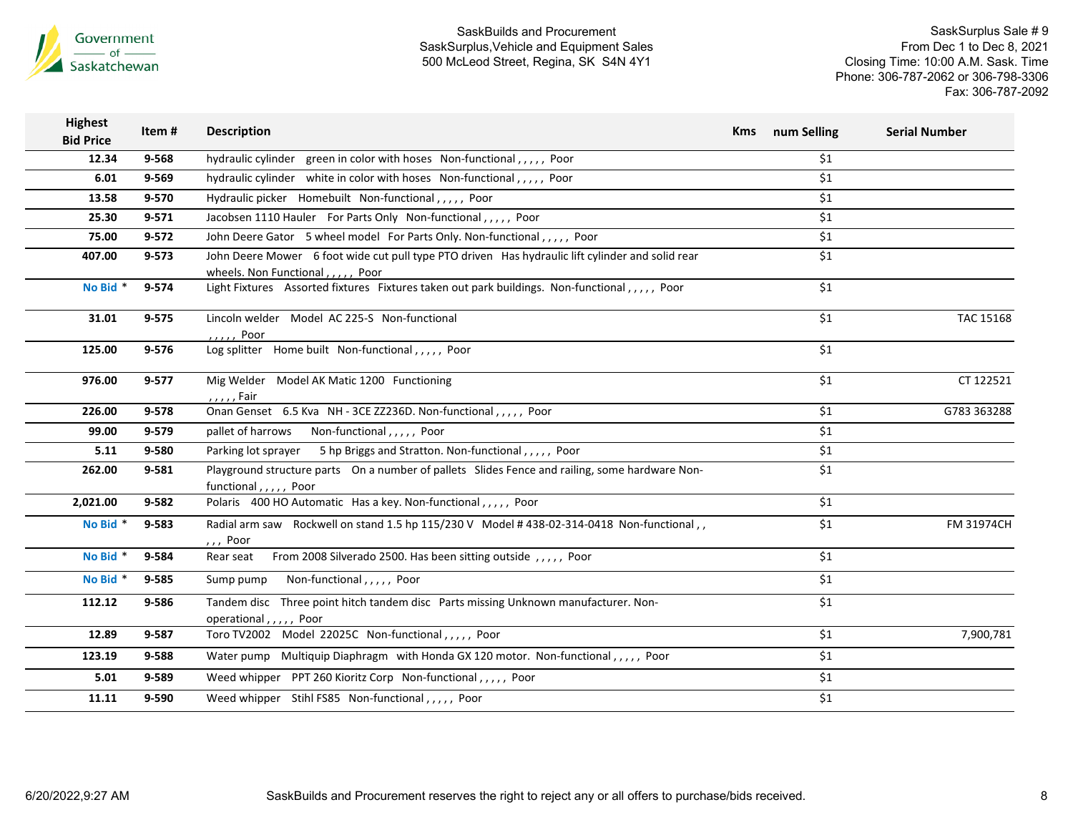

| <b>Highest</b><br><b>Bid Price</b> | Item#     | <b>Description</b>                                                                                                                    | <b>Kms</b> | num Selling | <b>Serial Number</b> |
|------------------------------------|-----------|---------------------------------------------------------------------------------------------------------------------------------------|------------|-------------|----------------------|
| 12.34                              | 9-568     | hydraulic cylinder green in color with hoses Non-functional,,,,, Poor                                                                 |            | \$1         |                      |
| 6.01                               | $9 - 569$ | hydraulic cylinder white in color with hoses Non-functional,,,,, Poor                                                                 |            | \$1         |                      |
| 13.58                              | 9-570     | Hydraulic picker Homebuilt Non-functional,,,,, Poor                                                                                   |            | \$1         |                      |
| 25.30                              | $9 - 571$ | Jacobsen 1110 Hauler For Parts Only Non-functional,,,,, Poor                                                                          |            | \$1         |                      |
| 75.00                              | $9 - 572$ | John Deere Gator 5 wheel model For Parts Only. Non-functional,,,,, Poor                                                               |            | \$1         |                      |
| 407.00                             | $9 - 573$ | John Deere Mower 6 foot wide cut pull type PTO driven Has hydraulic lift cylinder and solid rear<br>wheels. Non Functional,,,,,, Poor |            | \$1         |                      |
| No Bid *                           | 9-574     | Light Fixtures Assorted fixtures Fixtures taken out park buildings. Non-functional,,,,,, Poor                                         |            | \$1         |                      |
| 31.01                              | $9 - 575$ | Lincoln welder Model AC 225-S Non-functional<br>,,,,, Poor                                                                            |            | \$1         | TAC 15168            |
| 125.00                             | 9-576     | Log splitter Home built Non-functional,,,,, Poor                                                                                      |            | \$1         |                      |
| 976.00                             | 9-577     | Mig Welder Model AK Matic 1200 Functioning<br>, , , , , Fair                                                                          |            | \$1         | CT 122521            |
| 226.00                             | 9-578     | Onan Genset 6.5 Kva NH - 3CE ZZ236D. Non-functional,,,,, Poor                                                                         |            | \$1         | G783 363288          |
| 99.00                              | 9-579     | Non-functional,,,,, Poor<br>pallet of harrows                                                                                         |            | \$1         |                      |
| 5.11                               | 9-580     | Parking lot sprayer 5 hp Briggs and Stratton. Non-functional,,,,, Poor                                                                |            | \$1         |                      |
| 262.00                             | 9-581     | Playground structure parts On a number of pallets Slides Fence and railing, some hardware Non-<br>functional,,,,, Poor                |            | \$1         |                      |
| 2,021.00                           | 9-582     | Polaris 400 HO Automatic Has a key. Non-functional,,,,, Poor                                                                          |            | \$1         |                      |
| No Bid *                           | 9-583     | Radial arm saw Rockwell on stand 1.5 hp 115/230 V Model #438-02-314-0418 Non-functional,,<br>$,$ , Poor                               |            | \$1         | FM 31974CH           |
| No Bid *                           | 9-584     | From 2008 Silverado 2500. Has been sitting outside,,,,,, Poor<br>Rear seat                                                            |            | \$1         |                      |
| No Bid *                           | 9-585     | Non-functional,,,,,, Poor<br>Sump pump                                                                                                |            | \$1         |                      |
| 112.12                             | 9-586     | Tandem disc Three point hitch tandem disc Parts missing Unknown manufacturer. Non-<br>operational,,,,, Poor                           |            | \$1         |                      |
| 12.89                              | 9-587     | Toro TV2002 Model 22025C Non-functional,,,,, Poor                                                                                     |            | \$1         | 7,900,781            |
| 123.19                             | 9-588     | Water pump Multiquip Diaphragm with Honda GX 120 motor. Non-functional,,,,, Poor                                                      |            | \$1         |                      |
| 5.01                               | 9-589     | Weed whipper PPT 260 Kioritz Corp Non-functional,,,,, Poor                                                                            |            | \$1         |                      |
| 11.11                              | 9-590     | Weed whipper Stihl FS85 Non-functional,,,,, Poor                                                                                      |            | \$1         |                      |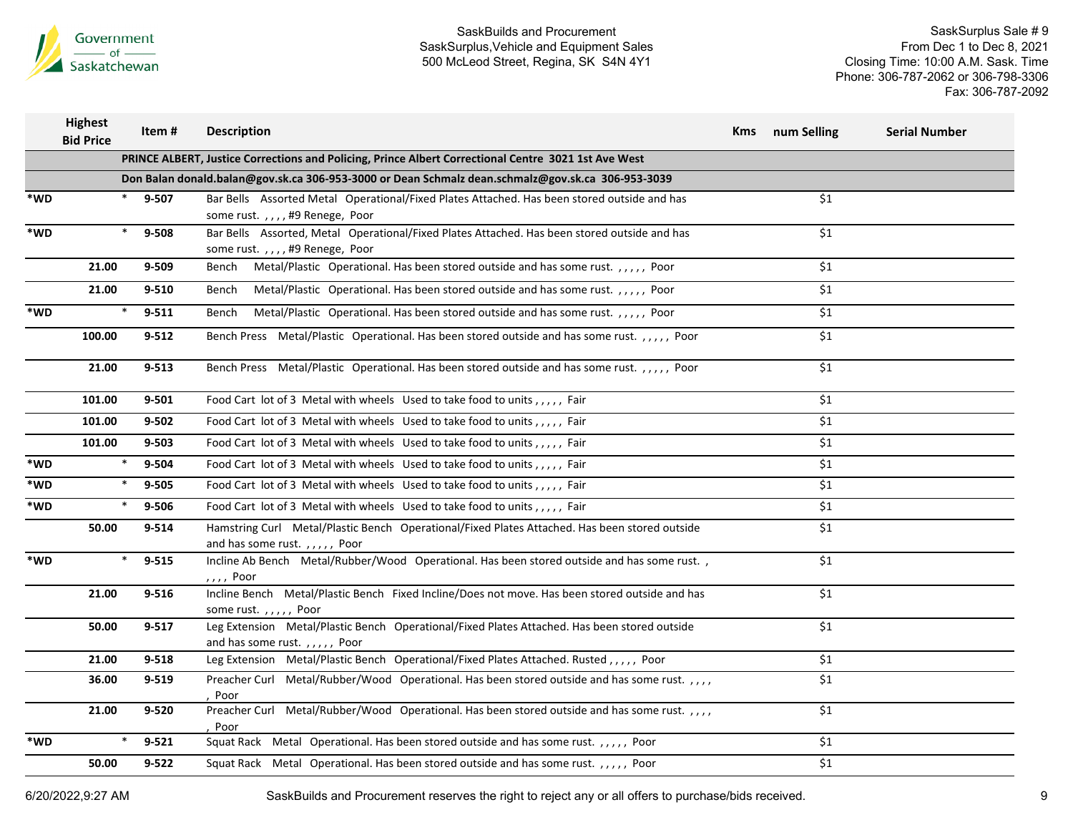

SaskSurplus Sale # 9 From Dec 1 to Dec 8, 2021 Closing Time: 10:00 A.M. Sask. Time Phone: 306-787-2062 or 306-798-3306 Fax: 306-787-2092

|     | Highest<br><b>Bid Price</b> | Item#     | <b>Description</b>                                                                                                            | Kms | num Selling | <b>Serial Number</b> |
|-----|-----------------------------|-----------|-------------------------------------------------------------------------------------------------------------------------------|-----|-------------|----------------------|
|     |                             |           | PRINCE ALBERT, Justice Corrections and Policing, Prince Albert Correctional Centre 3021 1st Ave West                          |     |             |                      |
|     |                             |           | Don Balan donald.balan@gov.sk.ca 306-953-3000 or Dean Schmalz dean.schmalz@gov.sk.ca 306-953-3039                             |     |             |                      |
| *WD | $\ast$                      | 9-507     | Bar Bells Assorted Metal Operational/Fixed Plates Attached. Has been stored outside and has<br>some rust.,,,,#9 Renege, Poor  |     | \$1         |                      |
| *WD | $\ast$                      | 9-508     | Bar Bells Assorted, Metal Operational/Fixed Plates Attached. Has been stored outside and has<br>some rust.,,,,#9 Renege, Poor |     | \$1         |                      |
|     | 21.00                       | $9 - 509$ | Metal/Plastic Operational. Has been stored outside and has some rust.,,,,, Poor<br>Bench                                      |     | \$1         |                      |
|     | 21.00                       | $9 - 510$ | Bench Metal/Plastic Operational. Has been stored outside and has some rust.,,,,,, Poor                                        |     | \$1         |                      |
| *WD | $\ast$                      | $9 - 511$ | Metal/Plastic Operational. Has been stored outside and has some rust.,,,,, Poor<br>Bench                                      |     | \$1         |                      |
|     | 100.00                      | $9 - 512$ | Bench Press Metal/Plastic Operational. Has been stored outside and has some rust.,,,,, Poor                                   |     | \$1         |                      |
|     | 21.00                       | $9 - 513$ | Bench Press Metal/Plastic Operational. Has been stored outside and has some rust. , , , , , , Poor                            |     | \$1         |                      |
|     | 101.00                      | $9 - 501$ | Food Cart lot of 3 Metal with wheels Used to take food to units,,,,, Fair                                                     |     | \$1         |                      |
|     | 101.00                      | $9 - 502$ | Food Cart lot of 3 Metal with wheels Used to take food to units,,,,, Fair                                                     |     | \$1         |                      |
|     | 101.00                      | $9 - 503$ | Food Cart lot of 3 Metal with wheels Used to take food to units,,,,, Fair                                                     |     | \$1         |                      |
| *WD | $\ast$                      | 9-504     | Food Cart lot of 3 Metal with wheels Used to take food to units,,,,, Fair                                                     |     | \$1         |                      |
| *WD | $\ast$                      | 9-505     | Food Cart lot of 3 Metal with wheels Used to take food to units,,,,, Fair                                                     |     | \$1         |                      |
| *WD | $\ast$                      | 9-506     | Food Cart lot of 3 Metal with wheels Used to take food to units,,,,, Fair                                                     |     | \$1         |                      |
|     | 50.00                       | $9 - 514$ | Hamstring Curl Metal/Plastic Bench Operational/Fixed Plates Attached. Has been stored outside<br>and has some rust.,,,,, Poor |     | \$1         |                      |
| *WD | $\ast$                      | $9 - 515$ | Incline Ab Bench Metal/Rubber/Wood Operational. Has been stored outside and has some rust.,<br>, , , , Poor                   |     | \$1         |                      |
|     | 21.00                       | $9 - 516$ | Incline Bench Metal/Plastic Bench Fixed Incline/Does not move. Has been stored outside and has<br>some rust.,,,,, Poor        |     | \$1         |                      |
|     | 50.00                       | $9 - 517$ | Leg Extension Metal/Plastic Bench Operational/Fixed Plates Attached. Has been stored outside<br>and has some rust.,,,,, Poor  |     | \$1         |                      |
|     | 21.00                       | $9 - 518$ | Leg Extension Metal/Plastic Bench Operational/Fixed Plates Attached. Rusted,,,,,Poor                                          |     | \$1         |                      |
|     | 36.00                       | $9 - 519$ | Preacher Curl Metal/Rubber/Wood Operational. Has been stored outside and has some rust.,,,,<br>Poor                           |     | \$1         |                      |
|     | 21.00                       | $9 - 520$ | Preacher Curl Metal/Rubber/Wood Operational. Has been stored outside and has some rust.,,,,<br>Poor                           |     | \$1         |                      |
| *WD | ∗                           | $9 - 521$ | Squat Rack Metal Operational. Has been stored outside and has some rust.,,,,,, Poor                                           |     | \$1         |                      |
|     | 50.00                       | $9 - 522$ | Squat Rack Metal Operational. Has been stored outside and has some rust.,,,,, Poor                                            |     | \$1         |                      |

6/20/2022,9:27 AM SaskBuilds and Procurement reserves the right to reject any or all offers to purchase/bids received. 9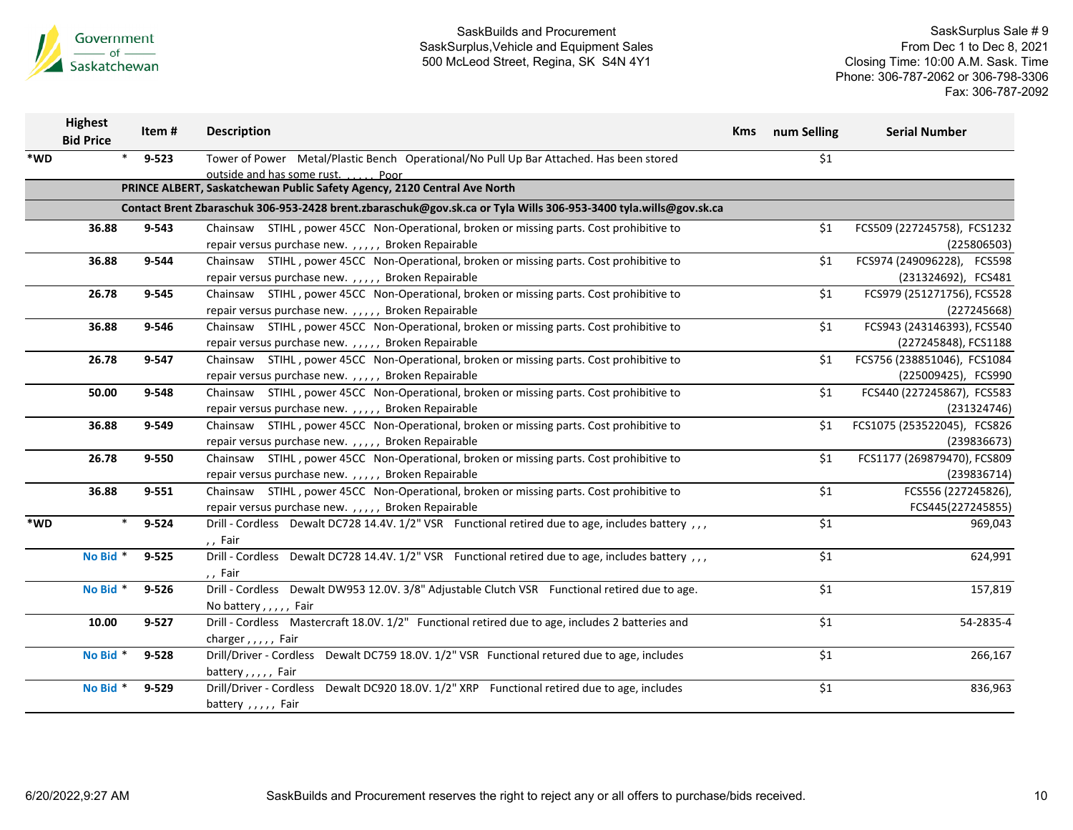

|     | <b>Highest</b><br><b>Bid Price</b> | Item#           | <b>Description</b>                                                                                               | <b>Kms</b> | num Selling | <b>Serial Number</b>        |
|-----|------------------------------------|-----------------|------------------------------------------------------------------------------------------------------------------|------------|-------------|-----------------------------|
| *WD |                                    | $9 - 523$       | Tower of Power Metal/Plastic Bench Operational/No Pull Up Bar Attached. Has been stored                          |            | \$1         |                             |
|     |                                    |                 | outside and has some rust. Poor                                                                                  |            |             |                             |
|     |                                    |                 | PRINCE ALBERT, Saskatchewan Public Safety Agency, 2120 Central Ave North                                         |            |             |                             |
|     |                                    |                 | Contact Brent Zbaraschuk 306-953-2428 brent.zbaraschuk@gov.sk.ca or Tyla Wills 306-953-3400 tyla.wills@gov.sk.ca |            |             |                             |
|     | 36.88                              | 9-543           | Chainsaw STIHL, power 45CC Non-Operational, broken or missing parts. Cost prohibitive to                         |            | \$1         | FCS509 (227245758), FCS1232 |
|     |                                    |                 | repair versus purchase new.,,,,, Broken Repairable                                                               |            |             | (225806503)                 |
|     | 36.88                              | 9-544           | Chainsaw STIHL, power 45CC Non-Operational, broken or missing parts. Cost prohibitive to                         |            | \$1         | FCS974 (249096228), FCS598  |
|     |                                    |                 | repair versus purchase new.,,,,, Broken Repairable                                                               |            |             | (231324692), FCS481         |
|     | 26.78                              | 9-545           | Chainsaw STIHL, power 45CC Non-Operational, broken or missing parts. Cost prohibitive to                         |            | \$1         | FCS979 (251271756), FCS528  |
|     |                                    |                 | repair versus purchase new.,,,,, Broken Repairable                                                               |            |             | (227245668)                 |
|     | 36.88                              | 9-546           | Chainsaw STIHL, power 45CC Non-Operational, broken or missing parts. Cost prohibitive to                         |            | \$1         | FCS943 (243146393), FCS540  |
|     |                                    |                 | repair versus purchase new.,,,,, Broken Repairable                                                               |            |             | (227245848), FCS1188        |
|     | 26.78                              | 9-547           | Chainsaw STIHL, power 45CC Non-Operational, broken or missing parts. Cost prohibitive to                         |            | \$1         | FCS756 (238851046), FCS1084 |
|     |                                    |                 | repair versus purchase new.,,,,, Broken Repairable                                                               |            |             | (225009425), FCS990         |
|     | 50.00                              | 9-548           | Chainsaw STIHL, power 45CC Non-Operational, broken or missing parts. Cost prohibitive to                         |            | \$1         | FCS440 (227245867), FCS583  |
|     |                                    |                 | repair versus purchase new.,,,,, Broken Repairable                                                               |            |             | (231324746)                 |
|     | 36.88                              | 9-549           | Chainsaw STIHL, power 45CC Non-Operational, broken or missing parts. Cost prohibitive to                         |            | \$1         | FCS1075 (253522045), FCS826 |
|     |                                    |                 | repair versus purchase new.,,,,, Broken Repairable                                                               |            |             | (239836673)                 |
|     | 26.78                              | 9-550           | Chainsaw STIHL, power 45CC Non-Operational, broken or missing parts. Cost prohibitive to                         |            | \$1         | FCS1177 (269879470), FCS809 |
|     |                                    |                 | repair versus purchase new.,,,,, Broken Repairable                                                               |            |             | (239836714)                 |
|     | 36.88                              | $9 - 551$       | Chainsaw STIHL, power 45CC Non-Operational, broken or missing parts. Cost prohibitive to                         |            | \$1         | FCS556 (227245826),         |
|     |                                    |                 | repair versus purchase new.,,,,, Broken Repairable                                                               |            |             | FCS445(227245855)           |
| *WD |                                    | $\ast$<br>9-524 | Drill - Cordless Dewalt DC728 14.4V. 1/2" VSR Functional retired due to age, includes battery , , ,              |            | \$1         | 969,043                     |
|     |                                    |                 | ,, Fair                                                                                                          |            |             |                             |
|     | No Bid *                           | $9 - 525$       | Drill - Cordless Dewalt DC728 14.4V. 1/2" VSR Functional retired due to age, includes battery , , ,              |            | \$1         | 624,991                     |
|     |                                    |                 | ,, Fair                                                                                                          |            |             |                             |
|     | No Bid *                           | $9 - 526$       | Drill - Cordless Dewalt DW953 12.0V. 3/8" Adjustable Clutch VSR Functional retired due to age.                   |            | \$1         | 157,819                     |
|     |                                    |                 | No battery,,,,, Fair                                                                                             |            |             |                             |
|     | 10.00                              | $9 - 527$       | Drill - Cordless Mastercraft 18.0V. 1/2" Functional retired due to age, includes 2 batteries and                 |            | \$1         | 54-2835-4                   |
|     |                                    |                 | charger, $, \, \cdot \,$ , Fair                                                                                  |            |             |                             |
|     | No Bid *                           | 9-528           | Drill/Driver - Cordless Dewalt DC759 18.0V. 1/2" VSR Functional retured due to age, includes                     |            | \$1         | 266,167                     |
|     |                                    |                 | battery,,,,, Fair                                                                                                |            |             |                             |
|     | No Bid *                           | 9-529           | Dewalt DC920 18.0V. 1/2" XRP Functional retired due to age, includes<br>Drill/Driver - Cordless                  |            | \$1         | 836,963                     |
|     |                                    |                 | battery , , , , , Fair                                                                                           |            |             |                             |
|     |                                    |                 |                                                                                                                  |            |             |                             |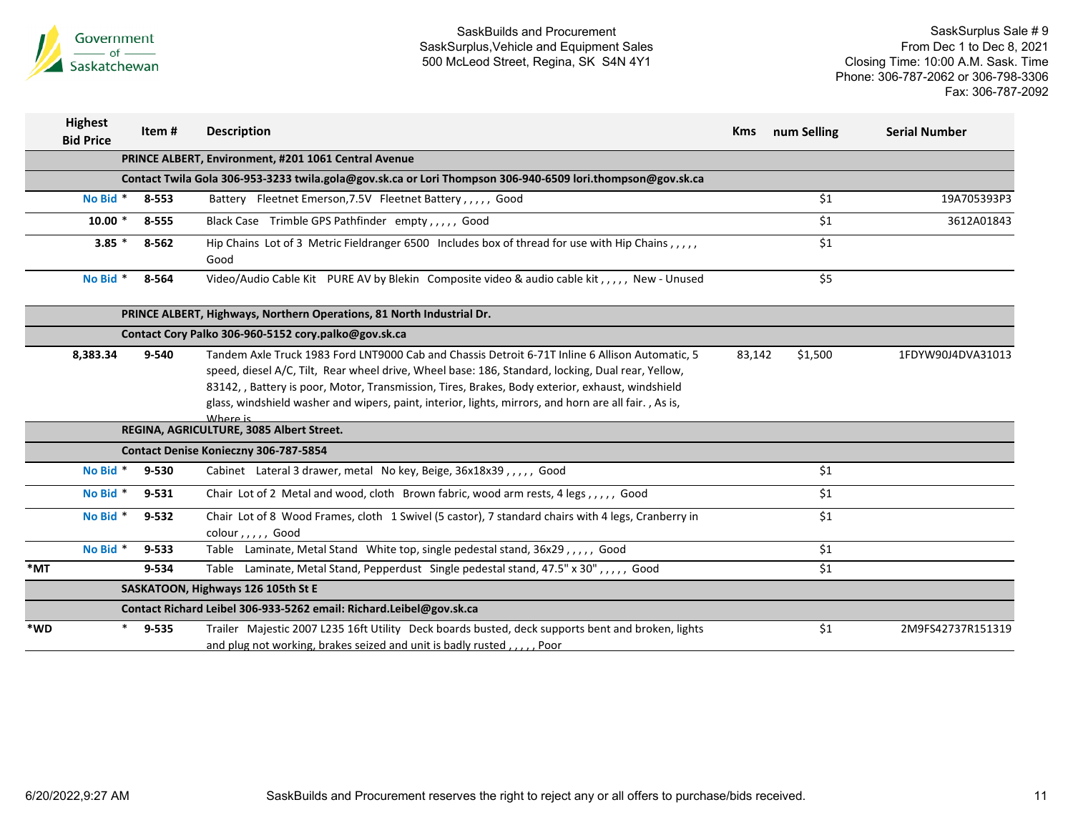

| <b>Highest</b><br><b>Bid Price</b> |          | Item #    | <b>Description</b>                                                                                                                                                                                                                                                                                                                                                                                                            | <b>Kms</b> | num Selling | <b>Serial Number</b> |
|------------------------------------|----------|-----------|-------------------------------------------------------------------------------------------------------------------------------------------------------------------------------------------------------------------------------------------------------------------------------------------------------------------------------------------------------------------------------------------------------------------------------|------------|-------------|----------------------|
|                                    |          |           | PRINCE ALBERT, Environment, #201 1061 Central Avenue                                                                                                                                                                                                                                                                                                                                                                          |            |             |                      |
|                                    |          |           | Contact Twila Gola 306-953-3233 twila.gola@gov.sk.ca or Lori Thompson 306-940-6509 lori.thompson@gov.sk.ca                                                                                                                                                                                                                                                                                                                    |            |             |                      |
|                                    | No Bid * | 8-553     | Battery Fleetnet Emerson, 7.5V Fleetnet Battery, , , , , Good                                                                                                                                                                                                                                                                                                                                                                 |            | \$1         | 19A705393P3          |
|                                    | $10.00*$ | 8-555     | Black Case Trimble GPS Pathfinder empty,,,,, Good                                                                                                                                                                                                                                                                                                                                                                             |            | \$1         | 3612A01843           |
|                                    | $3.85*$  | 8-562     | Hip Chains Lot of 3 Metric Fieldranger 6500 Includes box of thread for use with Hip Chains,,,,,<br>Good                                                                                                                                                                                                                                                                                                                       |            | \$1         |                      |
|                                    | No Bid * | 8-564     | Video/Audio Cable Kit PURE AV by Blekin Composite video & audio cable kit,,,,, New - Unused                                                                                                                                                                                                                                                                                                                                   |            | \$5         |                      |
|                                    |          |           | PRINCE ALBERT, Highways, Northern Operations, 81 North Industrial Dr.                                                                                                                                                                                                                                                                                                                                                         |            |             |                      |
|                                    |          |           | Contact Cory Palko 306-960-5152 cory.palko@gov.sk.ca                                                                                                                                                                                                                                                                                                                                                                          |            |             |                      |
|                                    | 8,383.34 | 9-540     | Tandem Axle Truck 1983 Ford LNT9000 Cab and Chassis Detroit 6-71T Inline 6 Allison Automatic, 5<br>speed, diesel A/C, Tilt, Rear wheel drive, Wheel base: 186, Standard, locking, Dual rear, Yellow,<br>83142, , Battery is poor, Motor, Transmission, Tires, Brakes, Body exterior, exhaust, windshield<br>glass, windshield washer and wipers, paint, interior, lights, mirrors, and horn are all fair., As is,<br>Where is | 83,142     | \$1,500     | 1FDYW90J4DVA31013    |
|                                    |          |           | REGINA, AGRICULTURE, 3085 Albert Street.                                                                                                                                                                                                                                                                                                                                                                                      |            |             |                      |
|                                    |          |           | Contact Denise Konieczny 306-787-5854                                                                                                                                                                                                                                                                                                                                                                                         |            |             |                      |
|                                    | No Bid * | 9-530     | Cabinet Lateral 3 drawer, metal No key, Beige, 36x18x39,,,,, Good                                                                                                                                                                                                                                                                                                                                                             |            | \$1         |                      |
|                                    | No Bid * | $9 - 531$ | Chair Lot of 2 Metal and wood, cloth Brown fabric, wood arm rests, 4 legs,,,,, Good                                                                                                                                                                                                                                                                                                                                           |            | \$1         |                      |
|                                    | No Bid * | $9 - 532$ | Chair Lot of 8 Wood Frames, cloth 1 Swivel (5 castor), 7 standard chairs with 4 legs, Cranberry in<br>colour, $, \, \,$ , Good                                                                                                                                                                                                                                                                                                |            | \$1         |                      |
|                                    | No Bid * | $9 - 533$ | Table Laminate, Metal Stand White top, single pedestal stand, 36x29,,,,, Good                                                                                                                                                                                                                                                                                                                                                 |            | \$1         |                      |
| $*_{\mathsf{MT}}$                  |          | 9-534     | Table Laminate, Metal Stand, Pepperdust Single pedestal stand, 47.5" x 30",,,,, Good                                                                                                                                                                                                                                                                                                                                          |            | \$1         |                      |
|                                    |          |           | SASKATOON, Highways 126 105th St E                                                                                                                                                                                                                                                                                                                                                                                            |            |             |                      |
|                                    |          |           | Contact Richard Leibel 306-933-5262 email: Richard.Leibel@gov.sk.ca                                                                                                                                                                                                                                                                                                                                                           |            |             |                      |
| *WD                                |          | $9 - 535$ | Trailer Majestic 2007 L235 16ft Utility Deck boards busted, deck supports bent and broken, lights<br>and plug not working, brakes seized and unit is badly rusted, , Poor                                                                                                                                                                                                                                                     |            | \$1         | 2M9FS42737R151319    |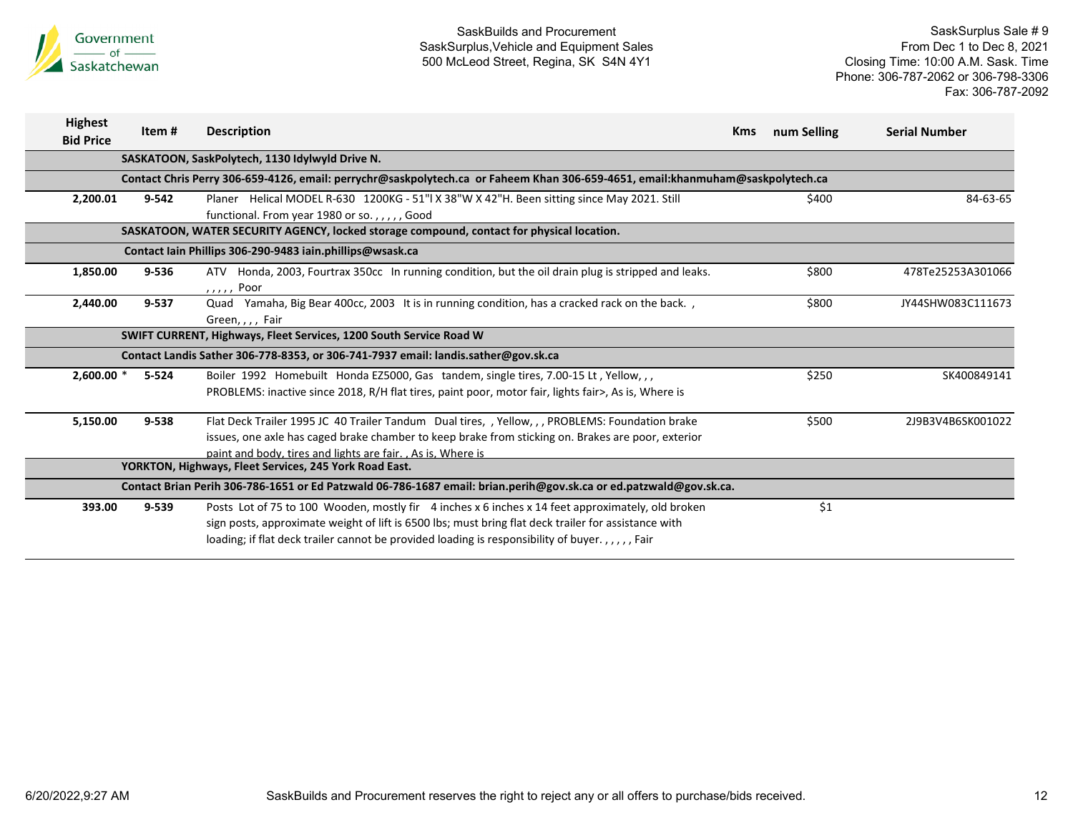

| <b>Highest</b><br><b>Bid Price</b> | Item#     | <b>Description</b>                                                                                                                                                                                                                                                                                         | <b>Kms</b> | num Selling | <b>Serial Number</b> |
|------------------------------------|-----------|------------------------------------------------------------------------------------------------------------------------------------------------------------------------------------------------------------------------------------------------------------------------------------------------------------|------------|-------------|----------------------|
|                                    |           | SASKATOON, SaskPolytech, 1130 Idylwyld Drive N.                                                                                                                                                                                                                                                            |            |             |                      |
|                                    |           | Contact Chris Perry 306-659-4126, email: perrychr@saskpolytech.ca or Faheem Khan 306-659-4651, email:khanmuham@saskpolytech.ca                                                                                                                                                                             |            |             |                      |
| 2,200.01                           | $9 - 542$ | Planer Helical MODEL R-630 1200KG - 51"  X 38"W X 42"H. Been sitting since May 2021. Still<br>functional. From year 1980 or so.,,,,, Good                                                                                                                                                                  |            | \$400       | 84-63-65             |
|                                    |           | SASKATOON, WATER SECURITY AGENCY, locked storage compound, contact for physical location.                                                                                                                                                                                                                  |            |             |                      |
|                                    |           | Contact Iain Phillips 306-290-9483 iain.phillips@wsask.ca                                                                                                                                                                                                                                                  |            |             |                      |
| 1,850.00                           | 9-536     | ATV Honda, 2003, Fourtrax 350cc In running condition, but the oil drain plug is stripped and leaks.<br>,,,,, Poor                                                                                                                                                                                          |            | \$800       | 478Te25253A301066    |
| 2,440.00                           | 9-537     | Quad Yamaha, Big Bear 400cc, 2003 It is in running condition, has a cracked rack on the back.,<br>Green, , , , Fair                                                                                                                                                                                        |            | \$800       | JY44SHW083C111673    |
|                                    |           | SWIFT CURRENT, Highways, Fleet Services, 1200 South Service Road W                                                                                                                                                                                                                                         |            |             |                      |
|                                    |           | Contact Landis Sather 306-778-8353, or 306-741-7937 email: landis.sather@gov.sk.ca                                                                                                                                                                                                                         |            |             |                      |
| $2,600.00*$                        | $5 - 524$ | Boiler 1992 Homebuilt Honda EZ5000, Gas tandem, single tires, 7.00-15 Lt, Yellow, ,,<br>PROBLEMS: inactive since 2018, R/H flat tires, paint poor, motor fair, lights fair>, As is, Where is                                                                                                               |            | \$250       | SK400849141          |
| 5,150.00                           | 9-538     | Flat Deck Trailer 1995 JC 40 Trailer Tandum Dual tires, , Yellow, , , PROBLEMS: Foundation brake<br>issues, one axle has caged brake chamber to keep brake from sticking on. Brakes are poor, exterior<br>paint and body, tires and lights are fair. . As is, Where is                                     |            | \$500       | 2J9B3V4B6SK001022    |
|                                    |           | YORKTON, Highways, Fleet Services, 245 York Road East.                                                                                                                                                                                                                                                     |            |             |                      |
|                                    |           | Contact Brian Perih 306-786-1651 or Ed Patzwald 06-786-1687 email: brian.perih@gov.sk.ca or ed.patzwald@gov.sk.ca.                                                                                                                                                                                         |            |             |                      |
| 393.00                             | $9 - 539$ | Posts Lot of 75 to 100 Wooden, mostly fir 4 inches x 6 inches x 14 feet approximately, old broken<br>sign posts, approximate weight of lift is 6500 lbs; must bring flat deck trailer for assistance with<br>loading; if flat deck trailer cannot be provided loading is responsibility of buyer.,,,,,Fair |            | \$1         |                      |